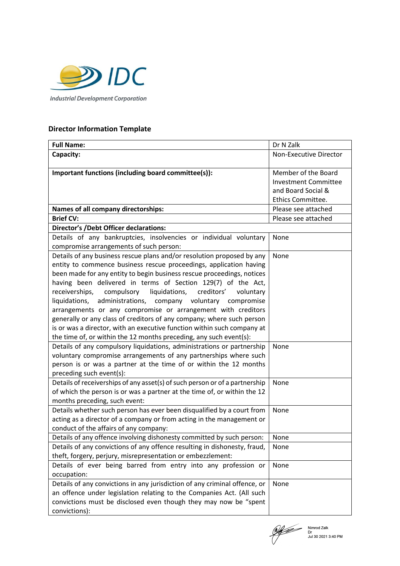

## **Director Information Template**

| <b>Full Name:</b>                                                           | Dr N Zalk                   |
|-----------------------------------------------------------------------------|-----------------------------|
| Capacity:                                                                   | Non-Executive Director      |
|                                                                             |                             |
| Important functions (including board committee(s)):                         | Member of the Board         |
|                                                                             | <b>Investment Committee</b> |
|                                                                             | and Board Social &          |
|                                                                             | Ethics Committee.           |
| Names of all company directorships:                                         | Please see attached         |
| <b>Brief CV:</b>                                                            | Please see attached         |
| <b>Director's /Debt Officer declarations:</b>                               |                             |
| Details of any bankruptcies, insolvencies or individual voluntary           | None                        |
| compromise arrangements of such person:                                     |                             |
| Details of any business rescue plans and/or resolution proposed by any      | None                        |
| entity to commence business rescue proceedings, application having          |                             |
| been made for any entity to begin business rescue proceedings, notices      |                             |
| having been delivered in terms of Section 129(7) of the Act,                |                             |
| liquidations,<br>creditors'<br>receiverships,<br>compulsory<br>voluntary    |                             |
| liquidations,<br>administrations, company voluntary compromise              |                             |
| arrangements or any compromise or arrangement with creditors                |                             |
| generally or any class of creditors of any company; where such person       |                             |
| is or was a director, with an executive function within such company at     |                             |
| the time of, or within the 12 months preceding, any such event(s):          |                             |
| Details of any compulsory liquidations, administrations or partnership      | None                        |
| voluntary compromise arrangements of any partnerships where such            |                             |
| person is or was a partner at the time of or within the 12 months           |                             |
| preceding such event(s):                                                    |                             |
| Details of receiverships of any asset(s) of such person or of a partnership | None                        |
| of which the person is or was a partner at the time of, or within the 12    |                             |
| months preceding, such event:                                               |                             |
| Details whether such person has ever been disqualified by a court from      | None                        |
| acting as a director of a company or from acting in the management or       |                             |
| conduct of the affairs of any company:                                      |                             |
| Details of any offence involving dishonesty committed by such person:       | None                        |
| Details of any convictions of any offence resulting in dishonesty, fraud,   | None                        |
| theft, forgery, perjury, misrepresentation or embezzlement:                 |                             |
| Details of ever being barred from entry into any profession or              | None                        |
| occupation:                                                                 |                             |
| Details of any convictions in any jurisdiction of any criminal offence, or  | None                        |
| an offence under legislation relating to the Companies Act. (All such       |                             |
| convictions must be disclosed even though they may now be "spent            |                             |
| convictions):                                                               |                             |